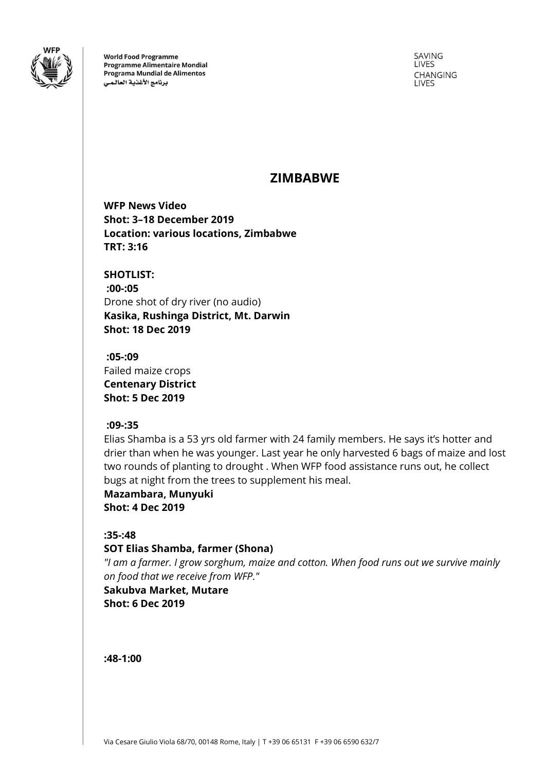

**World Food Programme Programme Alimentaire Mondial** Programa Mundial de Alimentos برنامج الأغذية العالمى

SAVING LIVES CHANGING **LIVES** 

# **ZIMBABWE**

**WFP News Video Shot: 3–18 December 2019 Location: various locations, Zimbabwe TRT: 3:16**

**SHOTLIST: :00-:05** Drone shot of dry river (no audio) **Kasika, Rushinga District, Mt. Darwin Shot: 18 Dec 2019**

**:05-:09** Failed maize crops **Centenary District Shot: 5 Dec 2019**

# **:09-:35**

Elias Shamba is a 53 yrs old farmer with 24 family members. He says it's hotter and drier than when he was younger. Last year he only harvested 6 bags of maize and lost two rounds of planting to drought . When WFP food assistance runs out, he collect bugs at night from the trees to supplement his meal.

**Mazambara, Munyuki Shot: 4 Dec 2019**

# **:35-:48**

# **SOT Elias Shamba, farmer (Shona)**

*"I am a farmer. I grow sorghum, maize and cotton. When food runs out we survive mainly on food that we receive from WFP."*

# **Sakubva Market, Mutare**

**Shot: 6 Dec 2019**

**:48-1:00**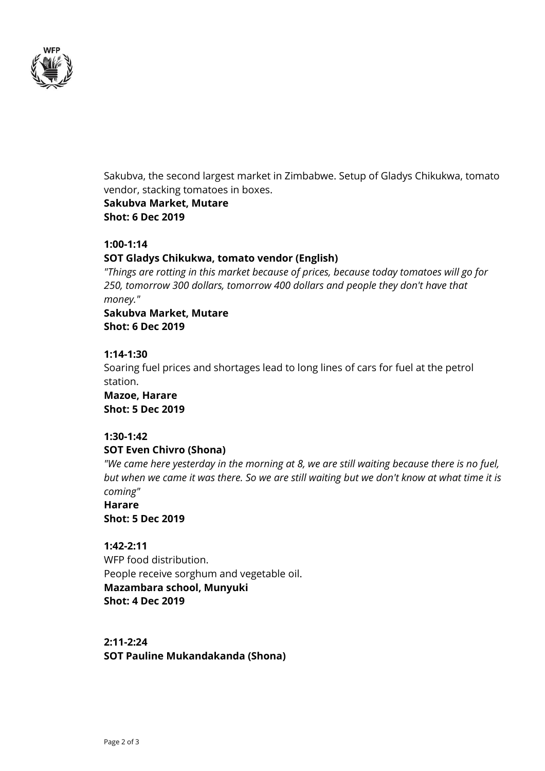

Sakubva, the second largest market in Zimbabwe. Setup of Gladys Chikukwa, tomato vendor, stacking tomatoes in boxes. **Sakubva Market, Mutare Shot: 6 Dec 2019**

#### **1:00-1:14**

#### **SOT Gladys Chikukwa, tomato vendor (English)**

*"Things are rotting in this market because of prices, because today tomatoes will go for 250, tomorrow 300 dollars, tomorrow 400 dollars and people they don't have that money."*

# **Sakubva Market, Mutare Shot: 6 Dec 2019**

#### **1:14-1:30**

Soaring fuel prices and shortages lead to long lines of cars for fuel at the petrol station.

**Mazoe, Harare Shot: 5 Dec 2019**

#### **1:30-1:42**

#### **SOT Even Chivro (Shona)**

*"We came here yesterday in the morning at 8, we are still waiting because there is no fuel, but when we came it was there. So we are still waiting but we don't know at what time it is coming"*

# **Harare Shot: 5 Dec 2019**

# **1:42-2:11**

WFP food distribution. People receive sorghum and vegetable oil. **Mazambara school, Munyuki Shot: 4 Dec 2019**

# **2:11-2:24**

**SOT Pauline Mukandakanda (Shona)**